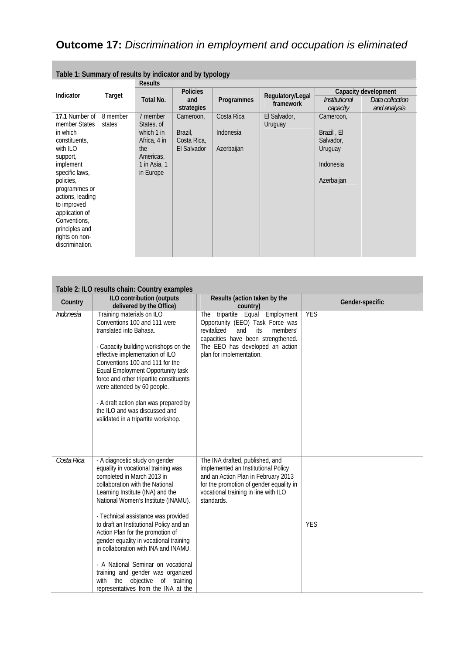## **Outcome 17:** *Discrimination in employment and occupation is eliminated*

| Table 1: Summary of results by indicator and by typology                                                                                                                                                                                                   |                    |                                                                                                       |                                                    |                                       |                               |                                                                            |                                 |
|------------------------------------------------------------------------------------------------------------------------------------------------------------------------------------------------------------------------------------------------------------|--------------------|-------------------------------------------------------------------------------------------------------|----------------------------------------------------|---------------------------------------|-------------------------------|----------------------------------------------------------------------------|---------------------------------|
|                                                                                                                                                                                                                                                            | Target             | <b>Results</b>                                                                                        |                                                    |                                       |                               |                                                                            |                                 |
| Indicator                                                                                                                                                                                                                                                  |                    |                                                                                                       | <b>Policies</b>                                    |                                       | Regulatory/Legal<br>framework | Capacity development                                                       |                                 |
|                                                                                                                                                                                                                                                            |                    | Total No.                                                                                             | and<br>strategies                                  | Programmes                            |                               | <i><b>Institutional</b></i><br>capacity                                    | Data collection<br>and analysis |
| 17.1 Number of<br>member States<br>in which<br>constituents,<br>with ILO<br>support,<br>implement<br>specific laws,<br>policies,<br>programmes or<br>actions, leading<br>to improved<br>application of<br>Conventions,<br>principles and<br>rights on non- | 8 member<br>states | 7 member<br>States, of<br>which 1 in<br>Africa, 4 in<br>the<br>Americas.<br>1 in Asia, 1<br>in Europe | Cameroon,<br>Brazil,<br>Costa Rica,<br>El Salvador | Costa Rica<br>Indonesia<br>Azerbaijan | El Salvador,<br>Uruguay       | Cameroon,<br>Brazil, El<br>Salvador,<br>Uruguay<br>Indonesia<br>Azerbaijan |                                 |
| discrimination.                                                                                                                                                                                                                                            |                    |                                                                                                       |                                                    |                                       |                               |                                                                            |                                 |

| Table 2: ILO results chain: Country examples |                                                                                                                                                                                                                                                                                                                                                                                                                                                                                                                                                                                     |                                                                                                                                                                                                                   |                 |  |
|----------------------------------------------|-------------------------------------------------------------------------------------------------------------------------------------------------------------------------------------------------------------------------------------------------------------------------------------------------------------------------------------------------------------------------------------------------------------------------------------------------------------------------------------------------------------------------------------------------------------------------------------|-------------------------------------------------------------------------------------------------------------------------------------------------------------------------------------------------------------------|-----------------|--|
| Country                                      | ILO contribution (outputs<br>delivered by the Office)                                                                                                                                                                                                                                                                                                                                                                                                                                                                                                                               | Results (action taken by the<br>country)                                                                                                                                                                          | Gender-specific |  |
| Indonesia                                    | Training materials on ILO<br>Conventions 100 and 111 were<br>translated into Bahasa.<br>- Capacity building workshops on the<br>effective implementation of ILO<br>Conventions 100 and 111 for the<br>Equal Employment Opportunity task<br>force and other tripartite constituents<br>were attended by 60 people.<br>- A draft action plan was prepared by<br>the ILO and was discussed and<br>validated in a tripartite workshop.                                                                                                                                                  | The tripartite Equal Employment<br>Opportunity (EEO) Task Force was<br>revitalized<br>and<br>its<br>members'<br>capacities have been strengthened.<br>The EEO has developed an action<br>plan for implementation. | <b>YES</b>      |  |
| Costa Rica                                   | - A diagnostic study on gender<br>equality in vocational training was<br>completed in March 2013 in<br>collaboration with the National<br>Learning Institute (INA) and the<br>National Women's Institute (INAMU).<br>- Technical assistance was provided<br>to draft an Institutional Policy and an<br>Action Plan for the promotion of<br>gender equality in vocational training<br>in collaboration with INA and INAMU.<br>- A National Seminar on vocational<br>training and gender was organized<br>with<br>the<br>objective of training<br>representatives from the INA at the | The INA drafted, published, and<br>implemented an Institutional Policy<br>and an Action Plan in February 2013<br>for the promotion of gender equality in<br>vocational training in line with ILO<br>standards.    | <b>YES</b>      |  |

|  | Table 1: Summary of results by indicator and by typology |
|--|----------------------------------------------------------|
|  |                                                          |